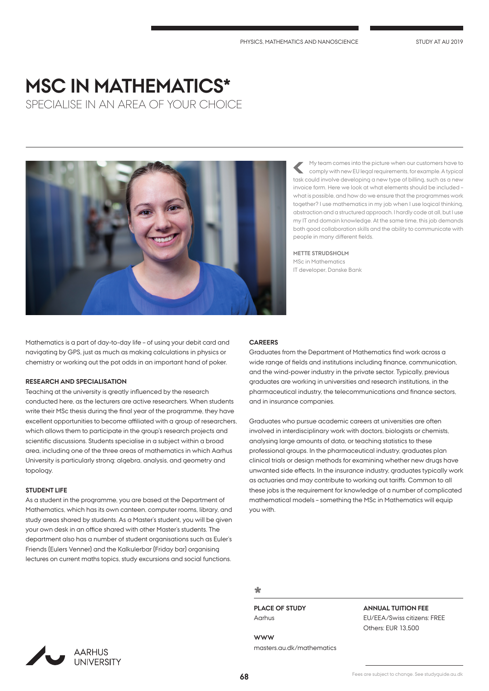# **MSC IN MATHEMATICS\***

SPECIALISE IN AN AREA OF YOUR CHOICE



My team comes into the picture when our customers have to comply with new EU legal requirements, for example. A typical task could involve developing a new type of billing, such as a new invoice form. Here we look at what elements should be included – what is possible, and how do we ensure that the programmes work together? I use mathematics in my job when I use logical thinking, abstraction and a structured approach. I hardly code at all, but I use my IT and domain knowledge. At the same time, this job demands both good collaboration skills and the ability to communicate with people in many different fields.

**METTE STRUDSHOLM** MSc in Mathematics IT developer, Danske Bank

Mathematics is a part of day-to-day life – of using your debit card and navigating by GPS, just as much as making calculations in physics or chemistry or working out the pot odds in an important hand of poker.

## **RESEARCH AND SPECIALISATION**

Teaching at the university is greatly influenced by the research conducted here, as the lecturers are active researchers. When students write their MSc thesis during the final year of the programme, they have excellent opportunities to become affiliated with a group of researchers, which allows them to participate in the group's research projects and scientific discussions. Students specialise in a subject within a broad area, including one of the three areas of mathematics in which Aarhus University is particularly strong: algebra, analysis, and geometry and topology.

#### **STUDENT LIFE**

As a student in the programme, you are based at the Department of Mathematics, which has its own canteen, computer rooms, library, and study areas shared by students. As a Master's student, you will be given your own desk in an office shared with other Master's students. The department also has a number of student organisations such as Euler's Friends (Eulers Venner) and the Kalkulerbar (Friday bar) organising lectures on current maths topics, study excursions and social functions.

#### **CAREERS**

Graduates from the Department of Mathematics find work across a wide range of fields and institutions including finance, communication, and the wind-power industry in the private sector. Typically, previous graduates are working in universities and research institutions, in the pharmaceutical industry, the telecommunications and finance sectors, and in insurance companies.

Graduates who pursue academic careers at universities are often involved in interdisciplinary work with doctors, biologists or chemists, analysing large amounts of data, or teaching statistics to these professional groups. In the pharmaceutical industry, graduates plan clinical trials or design methods for examining whether new drugs have unwanted side effects. In the insurance industry, graduates typically work as actuaries and may contribute to working out tariffs. Common to all these jobs is the requirement for knowledge of a number of complicated mathematical models – something the MSc in Mathematics will equip you with.

# **\***

**PLACE OF STUDY** Aarhus

**WWW** masters.au.dk/mathematics

# **ANNUAL TUITION FEE**

EU/EEA/Swiss citizens: FREE Others: EUR 13,500